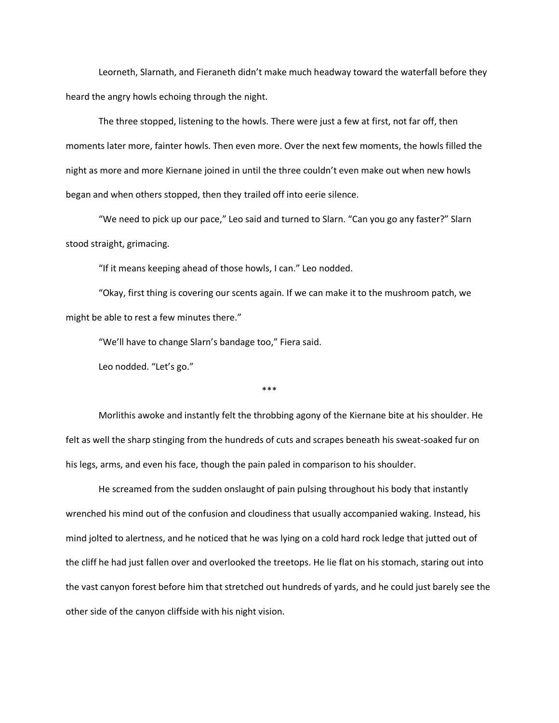Leorneth, Slarnath, and Fieraneth didn't make much headway toward the waterfall before they heard the angry howls echoing through the night.

The three stopped, listening to the howls. There were just a few at first, not far off, then moments later more, fainter howls. Then even more. Over the next few moments, the howls filled the night as more and more Kiernane joined in until the three couldn't even make out when new howls began and when others stopped, then they trailed off into eerie silence.

"We need to pick up our pace," Leo said and turned to Slarn. "Can you go any faster?" Slarn stood straight, grimacing.

"If it means keeping ahead of those howls, I can." Leo nodded.

"Okay, first thing is covering our scents again. If we can make it to the mushroom patch, we might be able to rest a few minutes there."

"We'll have to change Slarn's bandage too," Fiera said.

Leo nodded. "Let's go."

## $***$

Morlithis awoke and instantly felt the throbbing agony of the Kiernane bite at his shoulder. He felt as well the sharp stinging from the hundreds of cuts and scrapes beneath his sweat-soaked fur on his legs, arms, and even his face, though the pain paled in comparison to his shoulder.

He screamed from the sudden onslaught of pain pulsing throughout his body that instantly wrenched his mind out of the confusion and cloudiness that usually accompanied waking. Instead, his mind jolted to alertness, and he noticed that he was lying on a cold hard rock ledge that jutted out of the cliff he had just fallen over and overlooked the treetops. He lie flat on his stomach, staring out into the vast canyon forest before him that stretched out hundreds of yards, and he could just barely see the other side of the canyon cliffside with his night vision.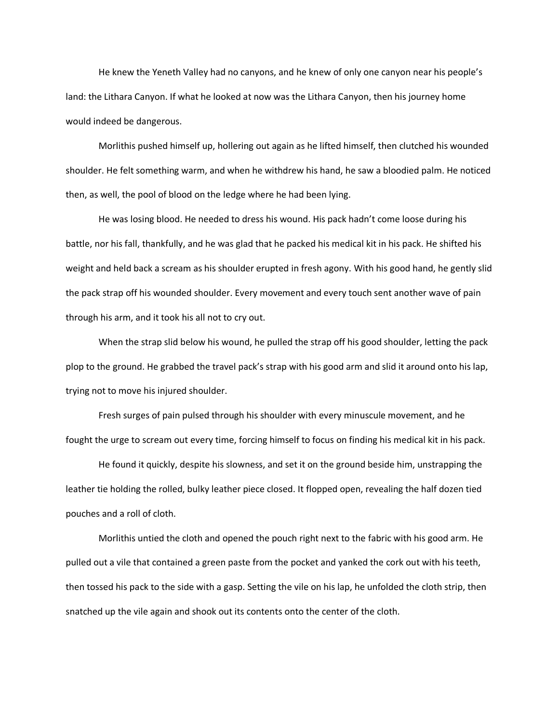He knew the Yeneth Valley had no canyons, and he knew of only one canyon near his people's land: the Lithara Canyon. If what he looked at now was the Lithara Canyon, then his journey home would indeed be dangerous.

Morlithis pushed himself up, hollering out again as he lifted himself, then clutched his wounded shoulder. He felt something warm, and when he withdrew his hand, he saw a bloodied palm. He noticed then, as well, the pool of blood on the ledge where he had been lying.

He was losing blood. He needed to dress his wound. His pack hadn't come loose during his battle, nor his fall, thankfully, and he was glad that he packed his medical kit in his pack. He shifted his weight and held back a scream as his shoulder erupted in fresh agony. With his good hand, he gently slid the pack strap off his wounded shoulder. Every movement and every touch sent another wave of pain through his arm, and it took his all not to cry out.

When the strap slid below his wound, he pulled the strap off his good shoulder, letting the pack plop to the ground. He grabbed the travel pack's strap with his good arm and slid it around onto his lap, trying not to move his injured shoulder.

Fresh surges of pain pulsed through his shoulder with every minuscule movement, and he fought the urge to scream out every time, forcing himself to focus on finding his medical kit in his pack.

He found it quickly, despite his slowness, and set it on the ground beside him, unstrapping the leather tie holding the rolled, bulky leather piece closed. It flopped open, revealing the half dozen tied pouches and a roll of cloth.

Morlithis untied the cloth and opened the pouch right next to the fabric with his good arm. He pulled out a vile that contained a green paste from the pocket and yanked the cork out with his teeth, then tossed his pack to the side with a gasp. Setting the vile on his lap, he unfolded the cloth strip, then snatched up the vile again and shook out its contents onto the center of the cloth.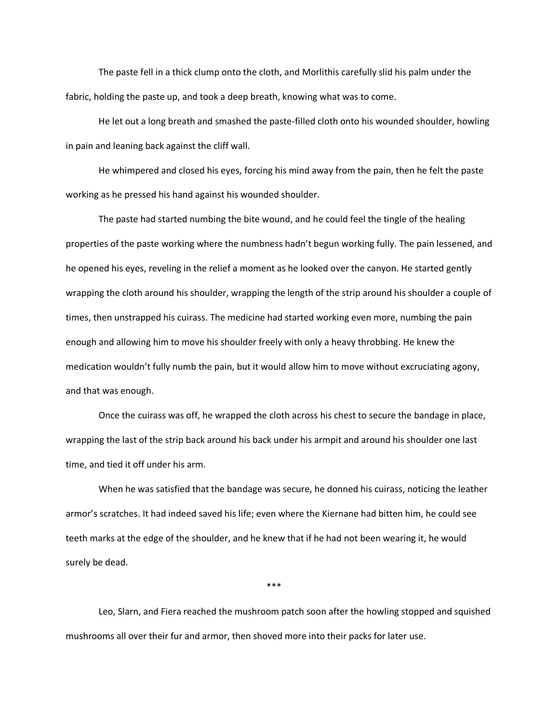The paste fell in a thick clump onto the cloth, and Morlithis carefully slid his palm under the fabric, holding the paste up, and took a deep breath, knowing what was to come.

He let out a long breath and smashed the paste-filled cloth onto his wounded shoulder, howling in pain and leaning back against the cliff wall.

He whimpered and closed his eyes, forcing his mind away from the pain, then he felt the paste working as he pressed his hand against his wounded shoulder.

The paste had started numbing the bite wound, and he could feel the tingle of the healing properties of the paste working where the numbness hadn't begun working fully. The pain lessened, and he opened his eyes, reveling in the relief a moment as he looked over the canyon. He started gently wrapping the cloth around his shoulder, wrapping the length of the strip around his shoulder a couple of times, then unstrapped his cuirass. The medicine had started working even more, numbing the pain enough and allowing him to move his shoulder freely with only a heavy throbbing. He knew the medication wouldn't fully numb the pain, but it would allow him to move without excruciating agony, and that was enough.

Once the cuirass was off, he wrapped the cloth across his chest to secure the bandage in place, wrapping the last of the strip back around his back under his armpit and around his shoulder one last time, and tied it off under his arm.

When he was satisfied that the bandage was secure, he donned his cuirass, noticing the leather armor's scratches. It had indeed saved his life; even where the Kiernane had bitten him, he could see teeth marks at the edge of the shoulder, and he knew that if he had not been wearing it, he would surely be dead.

 $***$ 

Leo, Slarn, and Fiera reached the mushroom patch soon after the howling stopped and squished mushrooms all over their fur and armor, then shoved more into their packs for later use.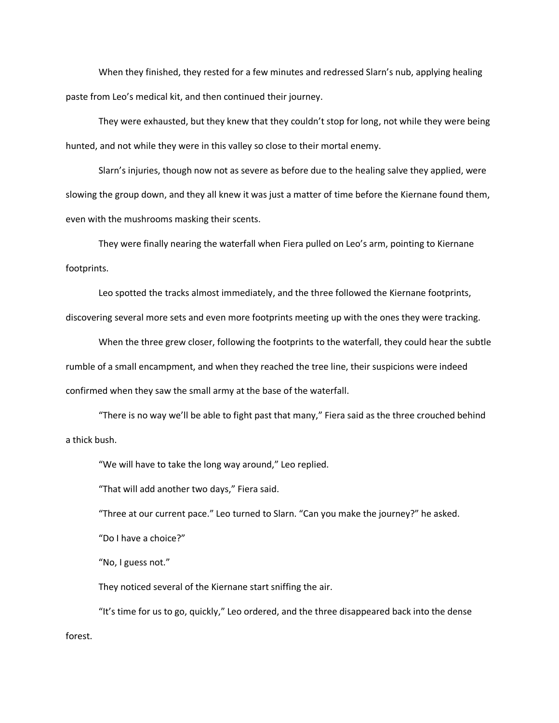When they finished, they rested for a few minutes and redressed Slarn's nub, applying healing paste from Leo's medical kit, and then continued their journey.

They were exhausted, but they knew that they couldn't stop for long, not while they were being hunted, and not while they were in this valley so close to their mortal enemy.

Slarn's injuries, though now not as severe as before due to the healing salve they applied, were slowing the group down, and they all knew it was just a matter of time before the Kiernane found them, even with the mushrooms masking their scents.

They were finally nearing the waterfall when Fiera pulled on Leo's arm, pointing to Kiernane footprints.

Leo spotted the tracks almost immediately, and the three followed the Kiernane footprints,

discovering several more sets and even more footprints meeting up with the ones they were tracking.

When the three grew closer, following the footprints to the waterfall, they could hear the subtle rumble of a small encampment, and when they reached the tree line, their suspicions were indeed confirmed when they saw the small army at the base of the waterfall.

"There is no way we'll be able to fight past that many," Fiera said as the three crouched behind a thick bush.

"We will have to take the long way around," Leo replied.

"That will add another two days," Fiera said.

"Three at our current pace." Leo turned to Slarn. "Can you make the journey?" he asked.

"Do I have a choice?"

"No, I guess not."

They noticed several of the Kiernane start sniffing the air.

"It's time for us to go, quickly," Leo ordered, and the three disappeared back into the dense forest.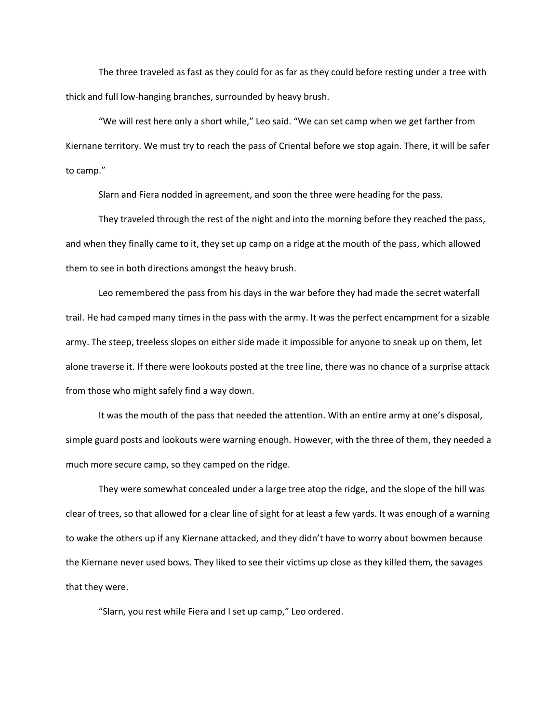The three traveled as fast as they could for as far as they could before resting under a tree with thick and full low-hanging branches, surrounded by heavy brush.

"We will rest here only a short while," Leo said. "We can set camp when we get farther from Kiernane territory. We must try to reach the pass of Criental before we stop again. There, it will be safer to camp."

Slarn and Fiera nodded in agreement, and soon the three were heading for the pass.

They traveled through the rest of the night and into the morning before they reached the pass, and when they finally came to it, they set up camp on a ridge at the mouth of the pass, which allowed them to see in both directions amongst the heavy brush.

Leo remembered the pass from his days in the war before they had made the secret waterfall trail. He had camped many times in the pass with the army. It was the perfect encampment for a sizable army. The steep, treeless slopes on either side made it impossible for anyone to sneak up on them, let alone traverse it. If there were lookouts posted at the tree line, there was no chance of a surprise attack from those who might safely find a way down.

It was the mouth of the pass that needed the attention. With an entire army at one's disposal, simple guard posts and lookouts were warning enough. However, with the three of them, they needed a much more secure camp, so they camped on the ridge.

They were somewhat concealed under a large tree atop the ridge, and the slope of the hill was clear of trees, so that allowed for a clear line of sight for at least a few yards. It was enough of a warning to wake the others up if any Kiernane attacked, and they didn't have to worry about bowmen because the Kiernane never used bows. They liked to see their victims up close as they killed them, the savages that they were.

"Slarn, you rest while Fiera and I set up camp," Leo ordered.